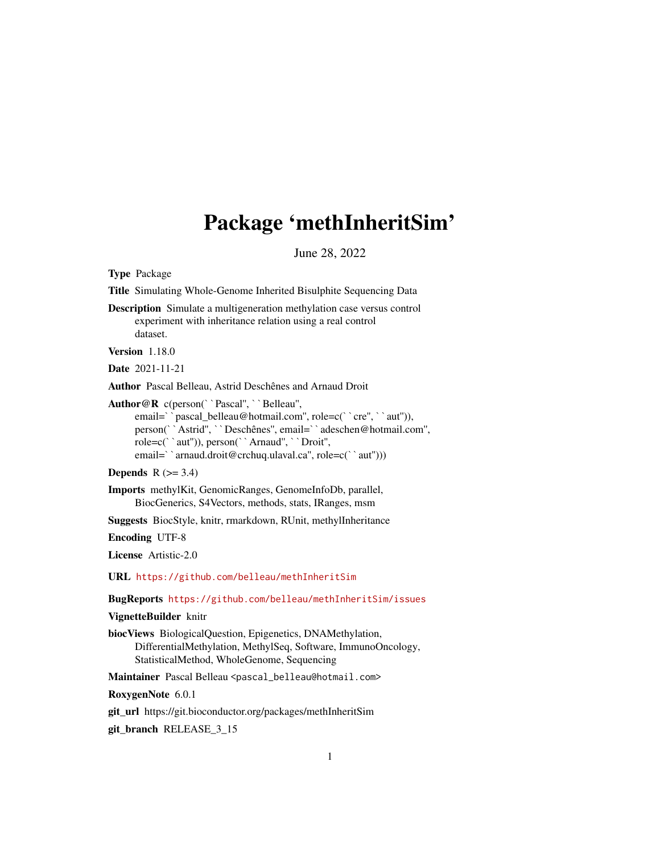## Package 'methInheritSim'

June 28, 2022

Type Package Title Simulating Whole-Genome Inherited Bisulphite Sequencing Data Description Simulate a multigeneration methylation case versus control experiment with inheritance relation using a real control dataset. Version 1.18.0 Date 2021-11-21 Author Pascal Belleau, Astrid Deschênes and Arnaud Droit Author@R c(person(``Pascal", ``Belleau", or Pascal Belleau, Astrid Deschênes and Arnaud Droit<br>
r@R c(person(``Pascal", ``Belleau",<br>
email=``pascal\_belleau@hotmail.com", role=c(``cre", ``aut")), permillerigated Constantion Constantine Constantine Constantine (in the entity cancel in the pass of the pass of the person(``Astrid'', ``Deschênes'', email=``adeschen@hotmail.com'', role=c('\text{\matheta} \text{\matheta} \text{\matheta} \text{\matheta} \text{\matheta} \text{\matheta} \text{\matheta} \text{\matheta} \text{\matheta} \text{\matheta} \text{\matheta} \text{\matheta} \text{\matheta} \text{ person(``Astrid'', ``Deschênes'', email=``adeschen@hotmail.com'',<br>role=c(``aut'')), person(``Arnaud'', ``Droit'',<br>email=``arnaud.droit@crchuq.ulaval.ca'', role=c(``aut'')))

```
Depends R (>= 3.4)
```
Imports methylKit, GenomicRanges, GenomeInfoDb, parallel, BiocGenerics, S4Vectors, methods, stats, IRanges, msm

Suggests BiocStyle, knitr, rmarkdown, RUnit, methylInheritance

Encoding UTF-8

License Artistic-2.0

URL <https://github.com/belleau/methInheritSim>

BugReports <https://github.com/belleau/methInheritSim/issues>

VignetteBuilder knitr

biocViews BiologicalQuestion, Epigenetics, DNAMethylation, DifferentialMethylation, MethylSeq, Software, ImmunoOncology, StatisticalMethod, WholeGenome, Sequencing

Maintainer Pascal Belleau <pascal\_belleau@hotmail.com>

RoxygenNote 6.0.1

git\_url https://git.bioconductor.org/packages/methInheritSim

git\_branch RELEASE\_3\_15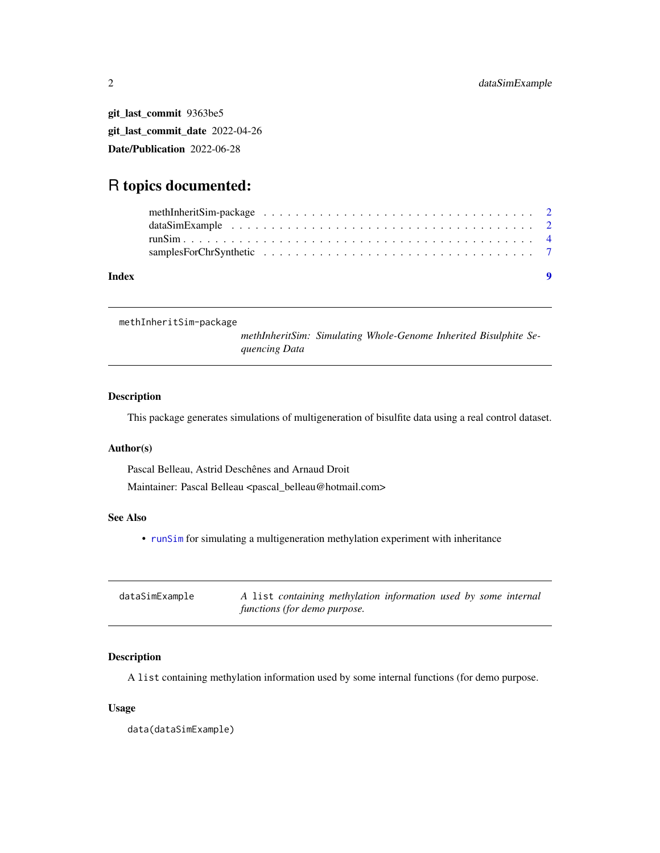git\_last\_commit 9363be5 git\_last\_commit\_date 2022-04-26 Date/Publication 2022-06-28

### R topics documented:

| Index |  |  |  |  |  |  |  |  |  |  |  |  |  |  |  |  |  | $\bullet$ |
|-------|--|--|--|--|--|--|--|--|--|--|--|--|--|--|--|--|--|-----------|
|       |  |  |  |  |  |  |  |  |  |  |  |  |  |  |  |  |  |           |
|       |  |  |  |  |  |  |  |  |  |  |  |  |  |  |  |  |  |           |
|       |  |  |  |  |  |  |  |  |  |  |  |  |  |  |  |  |  |           |
|       |  |  |  |  |  |  |  |  |  |  |  |  |  |  |  |  |  |           |
|       |  |  |  |  |  |  |  |  |  |  |  |  |  |  |  |  |  |           |

methInheritSim-package

*methInheritSim: Simulating Whole-Genome Inherited Bisulphite Sequencing Data*

#### Description

This package generates simulations of multigeneration of bisulfite data using a real control dataset.

#### Author(s)

Pascal Belleau, Astrid Deschênes and Arnaud Droit Maintainer: Pascal Belleau <pascal\_belleau@hotmail.com>

#### See Also

• [runSim](#page-3-1) for simulating a multigeneration methylation experiment with inheritance

| dataSimExample | A list containing methylation information used by some internal |
|----------------|-----------------------------------------------------------------|
|                | functions (for demo purpose.                                    |

#### Description

A list containing methylation information used by some internal functions (for demo purpose.

#### Usage

data(dataSimExample)

<span id="page-1-0"></span>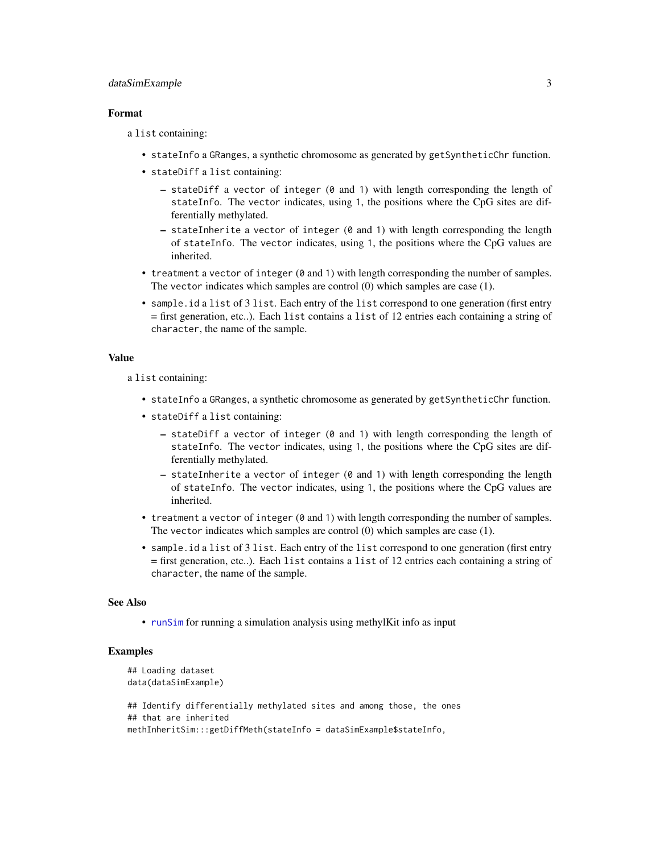#### <span id="page-2-0"></span>dataSimExample 3

#### Format

a list containing:

- stateInfo a GRanges, a synthetic chromosome as generated by getSyntheticChr function.
- stateDiff a list containing:
	- stateDiff a vector of integer (0 and 1) with length corresponding the length of stateInfo. The vector indicates, using 1, the positions where the CpG sites are differentially methylated.
	- $-$  stateInherite a vector of integer (0 and 1) with length corresponding the length of stateInfo. The vector indicates, using 1, the positions where the CpG values are inherited.
- treatment a vector of integer (0 and 1) with length corresponding the number of samples. The vector indicates which samples are control (0) which samples are case (1).
- sample.id a list of 3 list. Each entry of the list correspond to one generation (first entry = first generation, etc..). Each list contains a list of 12 entries each containing a string of character, the name of the sample.

#### Value

a list containing:

- stateInfo a GRanges, a synthetic chromosome as generated by getSyntheticChr function.
- stateDiff a list containing:
	- $-$  stateDiff a vector of integer (0 and 1) with length corresponding the length of stateInfo. The vector indicates, using 1, the positions where the CpG sites are differentially methylated.
	- $-$  stateInherite a vector of integer ( $\theta$  and 1) with length corresponding the length of stateInfo. The vector indicates, using 1, the positions where the CpG values are inherited.
- treatment a vector of integer (0 and 1) with length corresponding the number of samples. The vector indicates which samples are control (0) which samples are case (1).
- sample.id a list of 3 list. Each entry of the list correspond to one generation (first entry = first generation, etc..). Each list contains a list of 12 entries each containing a string of character, the name of the sample.

#### See Also

• [runSim](#page-3-1) for running a simulation analysis using methylKit info as input

#### Examples

```
## Loading dataset
data(dataSimExample)
## Identify differentially methylated sites and among those, the ones
## that are inherited
```
methInheritSim:::getDiffMeth(stateInfo = dataSimExample\$stateInfo,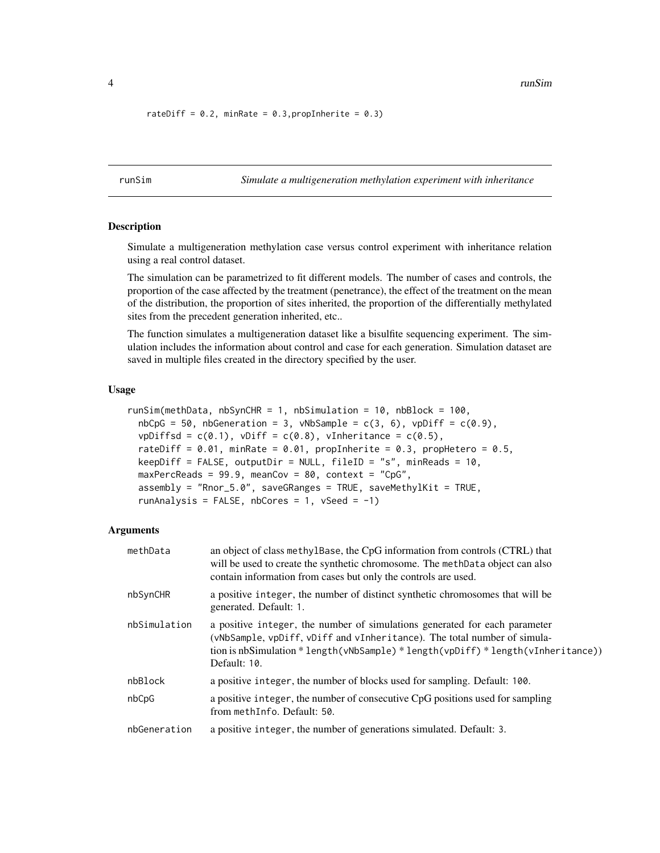<span id="page-3-0"></span>4 and 2008 and 2008 and 2008 and 2008 and 2008 and 2008 and 2008 and 2008 and 2008 and 2008 and 2008 and 2008 and 2008 and 2008 and 2008 and 2008 and 2008 and 2008 and 2008 and 2008 and 2008 and 2008 and 2008 and 2008 and

```
rateDiff = 0.2, minRate = 0.3, propInherite = 0.3)
```
<span id="page-3-1"></span>runSim *Simulate a multigeneration methylation experiment with inheritance*

#### **Description**

Simulate a multigeneration methylation case versus control experiment with inheritance relation using a real control dataset.

The simulation can be parametrized to fit different models. The number of cases and controls, the proportion of the case affected by the treatment (penetrance), the effect of the treatment on the mean of the distribution, the proportion of sites inherited, the proportion of the differentially methylated sites from the precedent generation inherited, etc..

The function simulates a multigeneration dataset like a bisulfite sequencing experiment. The simulation includes the information about control and case for each generation. Simulation dataset are saved in multiple files created in the directory specified by the user.

#### Usage

```
runSim(methData, nbSynCHR = 1, nbSimulation = 10, nbBlock = 100,
 nbCpG = 50, nbGenerator = 3, vNbSample = c(3, 6), vpbiff = c(0.9),
  vpDiffsd = c(0.1), vDiff = c(0.8), vInheritance = c(0.5),
  rateDiff = 0.01, minRate = 0.01, propInherite = 0.3, propHetero = 0.5,
 keepDiff = FALSE, outputDir = NULL, fileID = "s", minReads = 10,
 maxPercReads = 99.9, meanCov = 80, context = "CpG",
  assembly = "Rnor_5.0", saveGRanges = TRUE, saveMethylKit = TRUE,
  runAnalysis = FALSE, nbCores = 1, vSeed = -1)
```
#### Arguments

| methData     | an object of class methylogetheric the CpG information from controls (CTRL) that<br>will be used to create the synthetic chromosome. The methData object can also<br>contain information from cases but only the controls are used.                         |
|--------------|-------------------------------------------------------------------------------------------------------------------------------------------------------------------------------------------------------------------------------------------------------------|
| nbSynCHR     | a positive integer, the number of distinct synthetic chromosomes that will be<br>generated. Default: 1.                                                                                                                                                     |
| nbSimulation | a positive integer, the number of simulations generated for each parameter<br>(vNbSample, vpDiff, vDiff and vInheritance). The total number of simula-<br>tion is nbSimulation * length(vNbSample) * length(vpDiff) * length(vInheritance))<br>Default: 10. |
| nbBlock      | a positive integer, the number of blocks used for sampling. Default: 100.                                                                                                                                                                                   |
| nbCpG        | a positive integer, the number of consecutive CpG positions used for sampling<br>from methInfo. Default: 50.                                                                                                                                                |
| nbGeneration | a positive integer, the number of generations simulated. Default: 3.                                                                                                                                                                                        |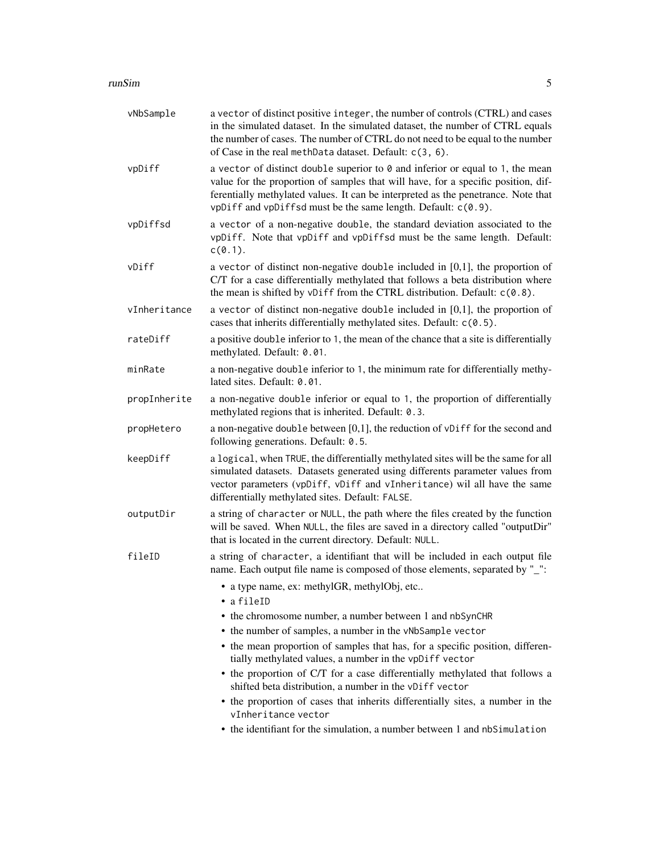#### runSim 5

| vNbSample    | a vector of distinct positive integer, the number of controls (CTRL) and cases<br>in the simulated dataset. In the simulated dataset, the number of CTRL equals<br>the number of cases. The number of CTRL do not need to be equal to the number<br>of Case in the real methData dataset. Default: c(3, 6).               |
|--------------|---------------------------------------------------------------------------------------------------------------------------------------------------------------------------------------------------------------------------------------------------------------------------------------------------------------------------|
| vpDiff       | a vector of distinct double superior to 0 and inferior or equal to 1, the mean<br>value for the proportion of samples that will have, for a specific position, dif-<br>ferentially methylated values. It can be interpreted as the penetrance. Note that<br>vpDiff and vpDiffsd must be the same length. Default: c(0.9). |
| vpDiffsd     | a vector of a non-negative double, the standard deviation associated to the<br>vpDiff. Note that vpDiff and vpDiffsd must be the same length. Default:<br>$c(0.1)$ .                                                                                                                                                      |
| vDiff        | a vector of distinct non-negative double included in $[0,1]$ , the proportion of<br>C/T for a case differentially methylated that follows a beta distribution where<br>the mean is shifted by vDiff from the CTRL distribution. Default: c(0.8).                                                                          |
| vInheritance | a vector of distinct non-negative double included in $[0,1]$ , the proportion of<br>cases that inherits differentially methylated sites. Default: c(0.5).                                                                                                                                                                 |
| rateDiff     | a positive double inferior to 1, the mean of the chance that a site is differentially<br>methylated. Default: 0.01.                                                                                                                                                                                                       |
| minRate      | a non-negative double inferior to 1, the minimum rate for differentially methy-<br>lated sites. Default: 0.01.                                                                                                                                                                                                            |
| propInherite | a non-negative double inferior or equal to 1, the proportion of differentially<br>methylated regions that is inherited. Default: 0.3.                                                                                                                                                                                     |
| propHetero   | a non-negative double between [0,1], the reduction of vDiff for the second and<br>following generations. Default: 0.5.                                                                                                                                                                                                    |
| keepDiff     | a logical, when TRUE, the differentially methylated sites will be the same for all<br>simulated datasets. Datasets generated using differents parameter values from<br>vector parameters (vpDiff, vDiff and vInheritance) wil all have the same<br>differentially methylated sites. Default: FALSE.                       |
| outputDir    | a string of character or NULL, the path where the files created by the function<br>will be saved. When NULL, the files are saved in a directory called "outputDir"<br>that is located in the current directory. Default: NULL.                                                                                            |
| fileID       | a string of character, a identifiant that will be included in each output file<br>name. Each output file name is composed of those elements, separated by "_":                                                                                                                                                            |
|              | • a type name, ex: methylGR, methylObj, etc<br>• a fileID                                                                                                                                                                                                                                                                 |
|              | • the chromosome number, a number between 1 and nbSynCHR                                                                                                                                                                                                                                                                  |
|              | • the number of samples, a number in the vNbSample vector                                                                                                                                                                                                                                                                 |
|              | • the mean proportion of samples that has, for a specific position, differen-<br>tially methylated values, a number in the vpDiff vector                                                                                                                                                                                  |
|              | • the proportion of C/T for a case differentially methylated that follows a<br>shifted beta distribution, a number in the vDiff vector                                                                                                                                                                                    |
|              | • the proportion of cases that inherits differentially sites, a number in the<br>vInheritance vector                                                                                                                                                                                                                      |
|              | • the identifiant for the simulation, a number between 1 and nbSimulation                                                                                                                                                                                                                                                 |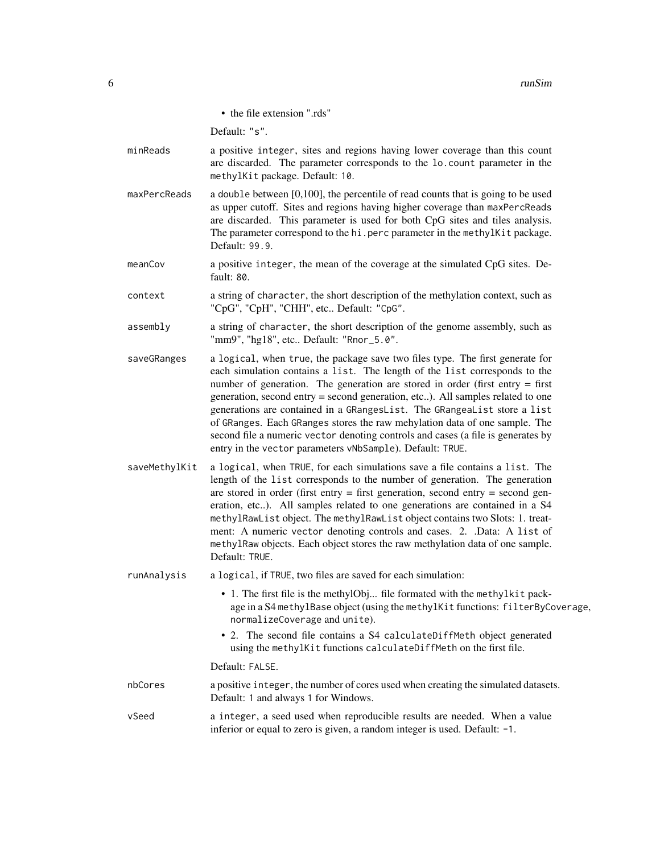• the file extension ".rds"

Default: "s".

- minReads a positive integer, sites and regions having lower coverage than this count are discarded. The parameter corresponds to the lo.count parameter in the methylKit package. Default: 10.
- maxPercReads a double between [0,100], the percentile of read counts that is going to be used as upper cutoff. Sites and regions having higher coverage than maxPercReads are discarded. This parameter is used for both CpG sites and tiles analysis. The parameter correspond to the hi.perc parameter in the methylKit package. Default: 99.9.
- meanCov a positive integer, the mean of the coverage at the simulated CpG sites. Default: 80.
- context a string of character, the short description of the methylation context, such as "CpG", "CpH", "CHH", etc.. Default: "CpG".
- assembly a string of character, the short description of the genome assembly, such as "mm9", "hg18", etc.. Default: "Rnor\_5.0".
- saveGRanges a logical, when true, the package save two files type. The first generate for each simulation contains a list. The length of the list corresponds to the number of generation. The generation are stored in order (first entry = first generation, second entry = second generation, etc..). All samples related to one generations are contained in a GRangesList. The GRangeaList store a list of GRanges. Each GRanges stores the raw mehylation data of one sample. The second file a numeric vector denoting controls and cases (a file is generates by entry in the vector parameters vNbSample). Default: TRUE.
- saveMethylKit a logical, when TRUE, for each simulations save a file contains a list. The length of the list corresponds to the number of generation. The generation are stored in order (first entry  $=$  first generation, second entry  $=$  second generation, etc..). All samples related to one generations are contained in a S4 methylRawList object. The methylRawList object contains two Slots: 1. treatment: A numeric vector denoting controls and cases. 2. .Data: A list of methylRaw objects. Each object stores the raw methylation data of one sample. Default: TRUE.

runAnalysis a logical, if TRUE, two files are saved for each simulation:

- 1. The first file is the methylObj... file formated with the methylkit package in a S4 methylBase object (using the methylKit functions: filterByCoverage, normalizeCoverage and unite).
- 2. The second file contains a S4 calculateDiffMeth object generated using the methylKit functions calculateDiffMeth on the first file.

#### Default: FALSE.

- nbCores a positive integer, the number of cores used when creating the simulated datasets. Default: 1 and always 1 for Windows.
- vSeed a integer, a seed used when reproducible results are needed. When a value inferior or equal to zero is given, a random integer is used. Default: -1.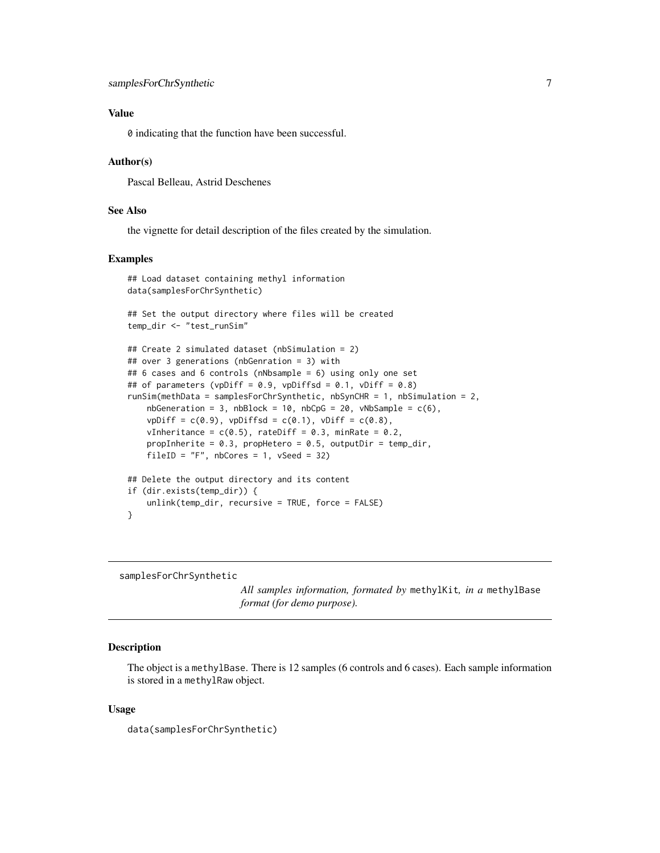#### <span id="page-6-0"></span>Value

0 indicating that the function have been successful.

#### Author(s)

Pascal Belleau, Astrid Deschenes

#### See Also

the vignette for detail description of the files created by the simulation.

#### Examples

```
## Load dataset containing methyl information
data(samplesForChrSynthetic)
## Set the output directory where files will be created
temp_dir <- "test_runSim"
## Create 2 simulated dataset (nbSimulation = 2)
## over 3 generations (nbGenration = 3) with
## 6 cases and 6 controls (nNbsample = 6) using only one set
## of parameters (vpDiff = 0.9, vpDiffsd = 0.1, vDiff = 0.8)
runSim(methData = samplesForChrSynthetic, nbSynCHR = 1, nbSimulation = 2,
   nbGenerator = 3, nbBlock = 10, nbCpG = 20, vNbSample = c(6),
   vpDiff = c(0.9), vpDiffsd = c(0.1), vDiff = c(0.8),
    vInheritance = c(0.5), rateDiff = 0.3, minRate = 0.2,
    propInherite = 0.3, propHetero = 0.5, outputDir = temp_dir,
    fileID = "F", nbCores = 1, vSeed = 32)## Delete the output directory and its content
if (dir.exists(temp_dir)) {
    unlink(temp_dir, recursive = TRUE, force = FALSE)
}
```
samplesForChrSynthetic

*All samples information, formated by* methylKit*, in a* methylBase *format (for demo purpose).*

#### **Description**

The object is a methylBase. There is 12 samples (6 controls and 6 cases). Each sample information is stored in a methylRaw object.

#### Usage

```
data(samplesForChrSynthetic)
```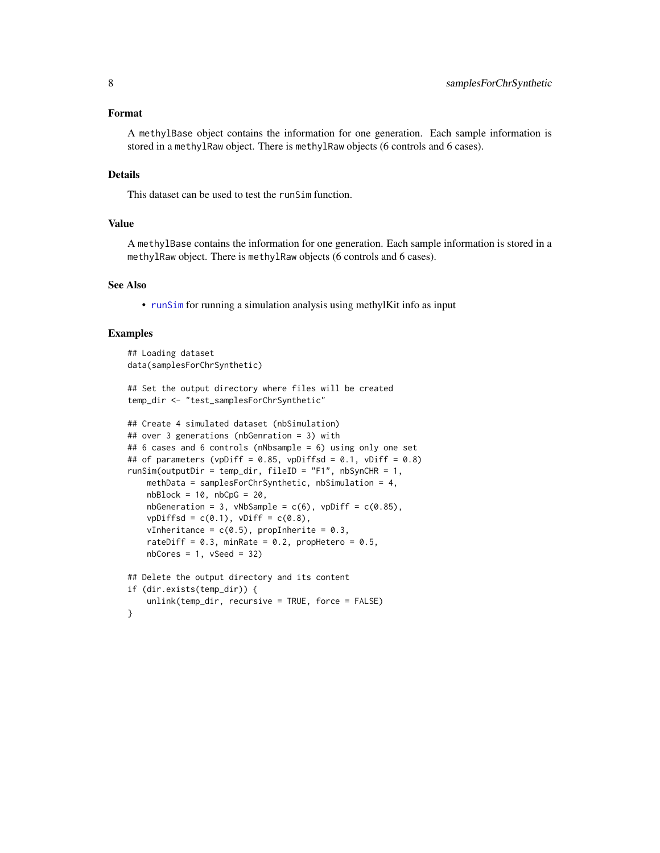#### <span id="page-7-0"></span>Format

A methylBase object contains the information for one generation. Each sample information is stored in a methylRaw object. There is methylRaw objects (6 controls and 6 cases).

#### Details

This dataset can be used to test the runSim function.

#### Value

A methylBase contains the information for one generation. Each sample information is stored in a methylRaw object. There is methylRaw objects (6 controls and 6 cases).

#### See Also

• [runSim](#page-3-1) for running a simulation analysis using methylKit info as input

#### Examples

```
## Loading dataset
data(samplesForChrSynthetic)
## Set the output directory where files will be created
temp_dir <- "test_samplesForChrSynthetic"
## Create 4 simulated dataset (nbSimulation)
## over 3 generations (nbGenration = 3) with
## 6 cases and 6 controls (nNbsample = 6) using only one set
## of parameters (vpDiff = 0.85, vpDiffsd = 0.1, vDiff = 0.8)
runSim(outputDir = temp_dir, fileID = "F1", nbSynCHR = 1,
   methData = samplesForChrSynthetic, nbSimulation = 4,
   nbBlock = 10, nbCpG = 20,
   nbGeneration = 3, vNbSample = c(6), vpDiff = c(0.85),
   vpDiffsd = c(0.1), vDiff = c(0.8),
   vInheritance = c(0.5), propInherite = 0.3,
   rateDiff = 0.3, minRate = 0.2, propHetero = 0.5,
   nbCores = 1, vSeed = 32## Delete the output directory and its content
if (dir.exists(temp_dir)) {
   unlink(temp_dir, recursive = TRUE, force = FALSE)
}
```